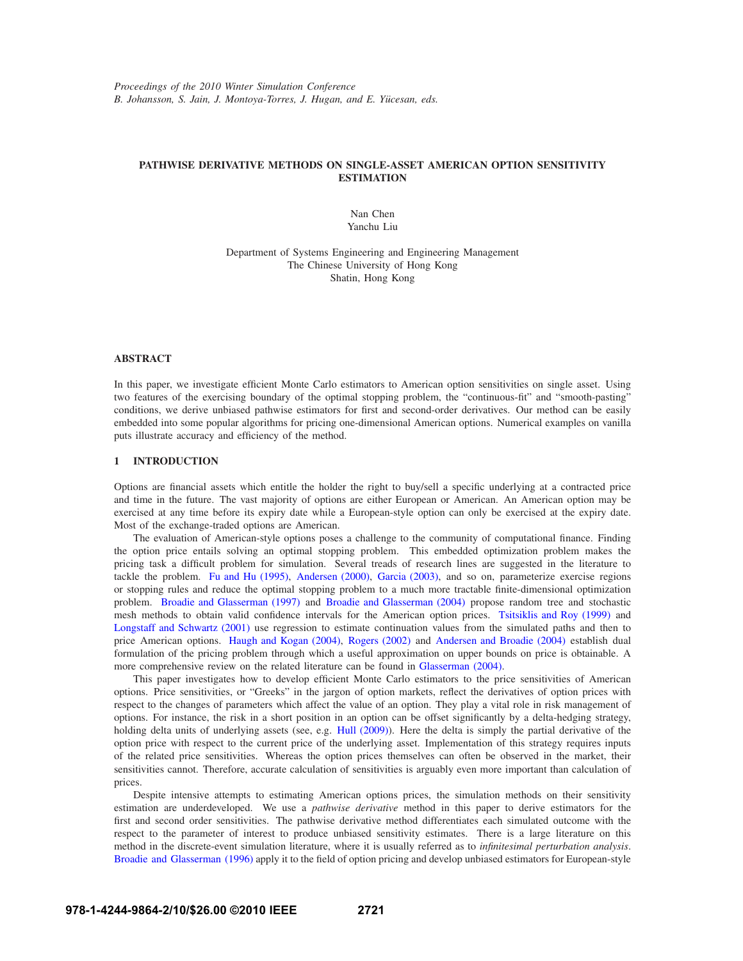# **PATHWISE DERIVATIVE METHODS ON SINGLE-ASSET AMERICAN OPTION SENSITIVITY ESTIMATION**

Nan Chen Yanchu Liu

Department of Systems Engineering and Engineering Management The Chinese University of Hong Kong Shatin, Hong Kong

#### **ABSTRACT**

In this paper, we investigate efficient Monte Carlo estimators to American option sensitivities on single asset. Using two features of the exercising boundary of the optimal stopping problem, the "continuous-fit" and "smooth-pasting" conditions, we derive unbiased pathwise estimators for first and second-order derivatives. Our method can be easily embedded into some popular algorithms for pricing one-dimensional American options. Numerical examples on vanilla puts illustrate accuracy and efficiency of the method.

## **1 INTRODUCTION**

Options are financial assets which entitle the holder the right to buy/sell a specific underlying at a contracted price and time in the future. The vast majority of options are either European or American. An American option may be exercised at any time before its expiry date while a European-style option can only be exercised at the expiry date. Most of the exchange-traded options are American.

The evaluation of American-style options poses a challenge to the community of computational finance. Finding the option price entails solving an optimal stopping problem. This embedded optimization problem makes the pricing task a difficult problem for simulation. Several treads of research lines are suggested in the literature to tackle the problem. Fu and Hu (1995), Andersen (2000), Garcia (2003), and so on, parameterize exercise regions or stopping rules and reduce the optimal stopping problem to a much more tractable finite-dimensional optimization problem. Broadie and Glasserman (1997) and Broadie and Glasserman (2004) propose random tree and stochastic mesh methods to obtain valid confidence intervals for the American option prices. Tsitsiklis and Roy (1999) and Longstaff and Schwartz (2001) use regression to estimate continuation values from the simulated paths and then to price American options. Haugh and Kogan (2004), Rogers (2002) and Andersen and Broadie (2004) establish dual formulation of the pricing problem through which a useful approximation on upper bounds on price is obtainable. A more comprehensive review on the related literature can be found in Glasserman (2004).

This paper investigates how to develop efficient Monte Carlo estimators to the price sensitivities of American options. Price sensitivities, or "Greeks" in the jargon of option markets, reflect the derivatives of option prices with respect to the changes of parameters which affect the value of an option. They play a vital role in risk management of options. For instance, the risk in a short position in an option can be offset significantly by a delta-hedging strategy, holding delta units of underlying assets (see, e.g. Hull (2009)). Here the delta is simply the partial derivative of the option price with respect to the current price of the underlying asset. Implementation of this strategy requires inputs of the related price sensitivities. Whereas the option prices themselves can often be observed in the market, their sensitivities cannot. Therefore, accurate calculation of sensitivities is arguably even more important than calculation of prices.

Despite intensive attempts to estimating American options prices, the simulation methods on their sensitivity estimation are underdeveloped. We use a *pathwise derivative* method in this paper to derive estimators for the first and second order sensitivities. The pathwise derivative method differentiates each simulated outcome with the respect to the parameter of interest to produce unbiased sensitivity estimates. There is a large literature on this method in the discrete-event simulation literature, where it is usually referred as to *infinitesimal perturbation analysis*. Broadie and Glasserman (1996) apply it to the field of option pricing and develop unbiased estimators for European-style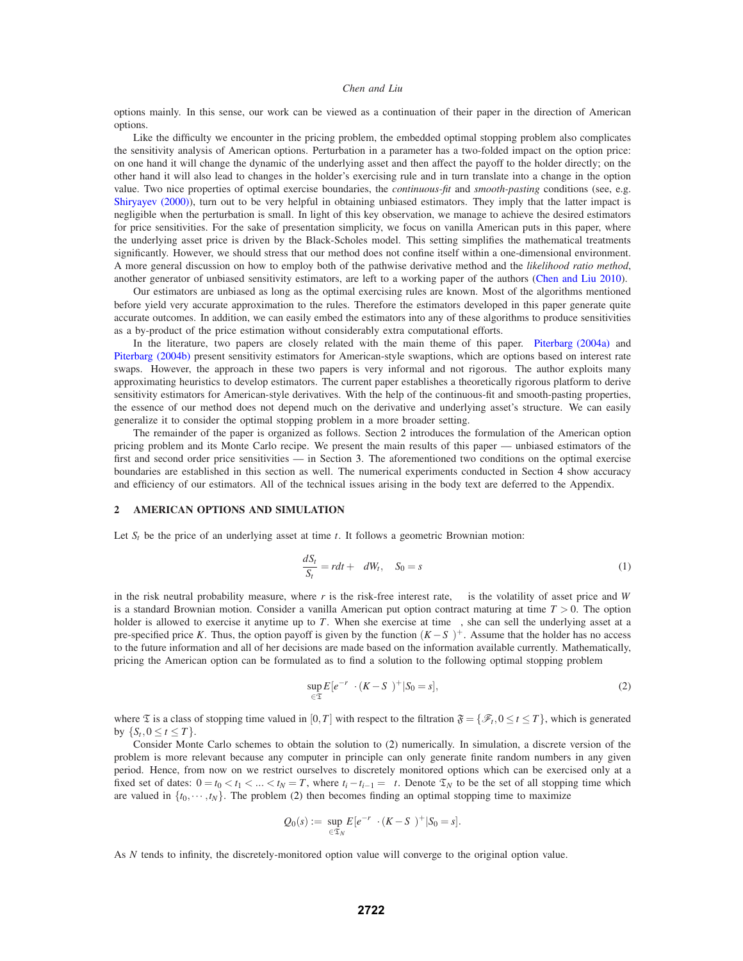options mainly. In this sense, our work can be viewed as a continuation of their paper in the direction of American options.

Like the difficulty we encounter in the pricing problem, the embedded optimal stopping problem also complicates the sensitivity analysis of American options. Perturbation in a parameter has a two-folded impact on the option price: on one hand it will change the dynamic of the underlying asset and then affect the payoff to the holder directly; on the other hand it will also lead to changes in the holder's exercising rule and in turn translate into a change in the option value. Two nice properties of optimal exercise boundaries, the *continuous-fit* and *smooth-pasting* conditions (see, e.g. Shiryayev (2000)), turn out to be very helpful in obtaining unbiased estimators. They imply that the latter impact is negligible when the perturbation is small. In light of this key observation, we manage to achieve the desired estimators for price sensitivities. For the sake of presentation simplicity, we focus on vanilla American puts in this paper, where the underlying asset price is driven by the Black-Scholes model. This setting simplifies the mathematical treatments significantly. However, we should stress that our method does not confine itself within a one-dimensional environment. A more general discussion on how to employ both of the pathwise derivative method and the *likelihood ratio method*, another generator of unbiased sensitivity estimators, are left to a working paper of the authors (Chen and Liu 2010).

Our estimators are unbiased as long as the optimal exercising rules are known. Most of the algorithms mentioned before yield very accurate approximation to the rules. Therefore the estimators developed in this paper generate quite accurate outcomes. In addition, we can easily embed the estimators into any of these algorithms to produce sensitivities as a by-product of the price estimation without considerably extra computational efforts.

In the literature, two papers are closely related with the main theme of this paper. Piterbarg (2004a) and Piterbarg (2004b) present sensitivity estimators for American-style swaptions, which are options based on interest rate swaps. However, the approach in these two papers is very informal and not rigorous. The author exploits many approximating heuristics to develop estimators. The current paper establishes a theoretically rigorous platform to derive sensitivity estimators for American-style derivatives. With the help of the continuous-fit and smooth-pasting properties, the essence of our method does not depend much on the derivative and underlying asset's structure. We can easily generalize it to consider the optimal stopping problem in a more broader setting.

The remainder of the paper is organized as follows. Section 2 introduces the formulation of the American option pricing problem and its Monte Carlo recipe. We present the main results of this paper — unbiased estimators of the first and second order price sensitivities — in Section 3. The aforementioned two conditions on the optimal exercise boundaries are established in this section as well. The numerical experiments conducted in Section 4 show accuracy and efficiency of our estimators. All of the technical issues arising in the body text are deferred to the Appendix.

## **2 AMERICAN OPTIONS AND SIMULATION**

Let  $S_t$  be the price of an underlying asset at time  $t$ . It follows a geometric Brownian motion:

$$
\frac{dS_t}{S_t} = rdt + \sigma dW_t, \quad S_0 = s \tag{1}
$$

in the risk neutral probability measure, where  $r$  is the risk-free interest rate,  $\sigma$  is the volatility of asset price and *W* is a standard Brownian motion. Consider a vanilla American put option contract maturing at time  $T > 0$ . The option holder is allowed to exercise it anytime up to *T*. When she exercise at time  $\tau$ , she can sell the underlying asset at a pre-specified price *K*. Thus, the option payoff is given by the function  $(K - S<sub>\tau</sub>)^+$ . Assume that the holder has no access to the future information and all of her decisions are made based on the information available currently. Mathematically, pricing the American option can be formulated as to find a solution to the following optimal stopping problem

$$
\sup_{\tau \in \mathfrak{T}} E[e^{-r\tau} \cdot (K - S_{\tau})^+ | S_0 = s],\tag{2}
$$

where  $\mathfrak{T}$  is a class of stopping time valued in [0,*T*] with respect to the filtration  $\mathfrak{F} = {\mathcal{F}_t, 0 \le t \le T}$ , which is generated by  $\{S_t, 0 \le t \le T\}.$ 

Consider Monte Carlo schemes to obtain the solution to (2) numerically. In simulation, a discrete version of the problem is more relevant because any computer in principle can only generate finite random numbers in any given period. Hence, from now on we restrict ourselves to discretely monitored options which can be exercised only at a fixed set of dates:  $0 = t_0 < t_1 < ... < t_N = T$ , where  $t_i - t_{i-1} = \Delta t$ . Denote  $\mathfrak{T}_N$  to be the set of all stopping time which are valued in  $\{t_0, \dots, t_N\}$ . The problem (2) then becomes finding an optimal stopping time to maximize

$$
Q_0(s) := \sup_{\tau \in \mathfrak{T}_N} E[e^{-r\tau} \cdot (K - S_{\tau})^+ | S_0 = s].
$$

As *N* tends to infinity, the discretely-monitored option value will converge to the original option value.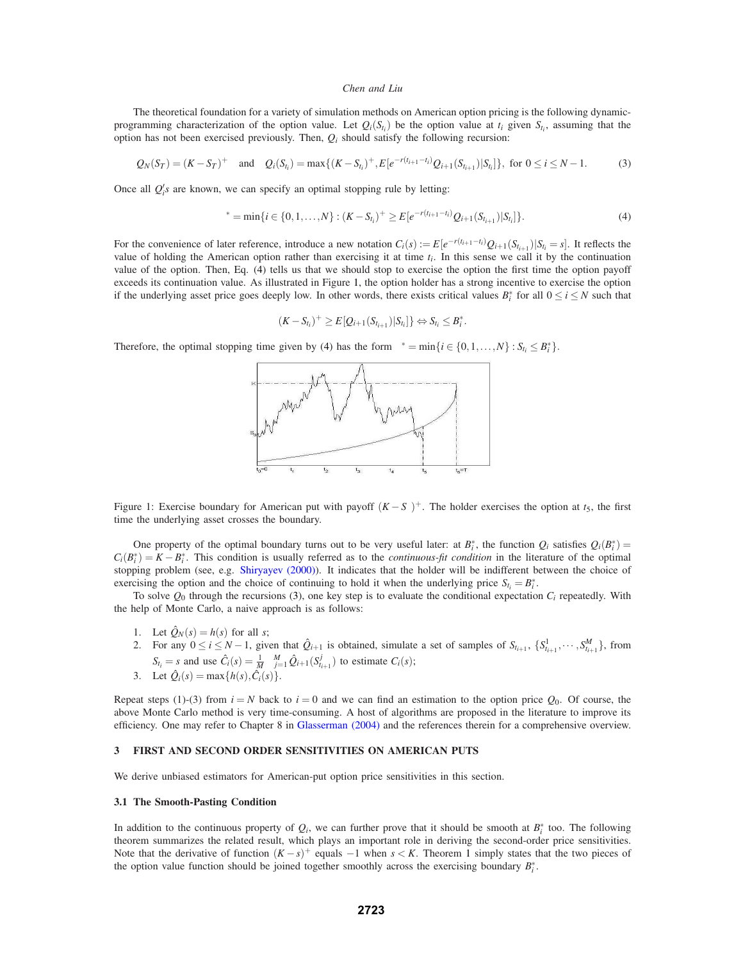The theoretical foundation for a variety of simulation methods on American option pricing is the following dynamicprogramming characterization of the option value. Let  $Q_i(S_{t_i})$  be the option value at  $t_i$  given  $S_{t_i}$ , assuming that the option has not been exercised previously. Then,  $Q_i$  should satisfy the following recursion:

$$
Q_N(S_T) = (K - S_T)^+ \quad \text{and} \quad Q_i(S_{t_i}) = \max\{(K - S_{t_i})^+, E[e^{-r(t_{i+1} - t_i)}Q_{i+1}(S_{t_{i+1}})|S_{t_i}]\}, \text{ for } 0 \le i \le N - 1.
$$
 (3)

Once all  $Q_i$ 's are known, we can specify an optimal stopping rule by letting:

$$
\tau^* = \min\{i \in \{0, 1, \ldots, N\} : (K - S_{t_i})^+ \ge E[e^{-r(t_{i+1} - t_i)} Q_{i+1}(S_{t_{i+1}}) | S_{t_i}]\}.
$$
\n(4)

For the convenience of later reference, introduce a new notation  $C_i(s) := E[e^{-r(t_{i+1}-t_i)}Q_{i+1}(S_{t_{i+1}})|S_{t_i} = s]$ . It reflects the value of holding the American option rather than exercising it at time  $t_i$ . In this sense we call it by the continuation value of the option. Then, Eq. (4) tells us that we should stop to exercise the option the first time the option payoff exceeds its continuation value. As illustrated in Figure 1, the option holder has a strong incentive to exercise the option if the underlying asset price goes deeply low. In other words, there exists critical values  $B_i^*$  for all  $0 \le i \le N$  such that

$$
(K - S_{t_i})^+ \geq E[Q_{i+1}(S_{t_{i+1}})|S_{t_i}] \} \Leftrightarrow S_{t_i} \leq B_i^*.
$$

Therefore, the optimal stopping time given by (4) has the form  $\tau^* = \min\{i \in \{0, 1, ..., N\} : S_{t_i} \leq B_i^* \}$ .



Figure 1: Exercise boundary for American put with payoff  $(K - S<sub>\tau</sub>)$ <sup>+</sup>. The holder exercises the option at  $t<sub>5</sub>$ , the first time the underlying asset crosses the boundary.

One property of the optimal boundary turns out to be very useful later: at  $B_i^*$ , the function  $Q_i$  satisfies  $Q_i(B_i^*)$  =  $C_i(B_i^*) = K - B_i^*$ . This condition is usually referred as to the *continuous-fit condition* in the literature of the optimal stopping problem (see, e.g. Shiryayev (2000)). It indicates that the holder will be indifferent between the choice of exercising the option and the choice of continuing to hold it when the underlying price  $S_{t_i} = B_i^*$ .

To solve  $Q_0$  through the recursions (3), one key step is to evaluate the conditional expectation  $C_i$  repeatedly. With the help of Monte Carlo, a naive approach is as follows:

- 1. Let  $\hat{Q}_N(s) = h(s)$  for all *s*;
- 2. For any  $0 \le i \le N-1$ , given that  $\hat{Q}_{i+1}$  is obtained, simulate a set of samples of  $S_{t_{i+1}}, \{S_{t_{i+1}}^1, \dots, S_{t_{i+1}}^M\}$ , from  $S_{t_i} = s$  and use  $\hat{C}_i(s) = \frac{1}{M} \sum_{j=1}^{M} \hat{Q}_{i+1}(S^j_{t_{i+1}})$  to estimate  $C_i(s)$ ;
- 3. Let  $\hat{Q}_i(s) = \max\{h(s), \hat{C}_i(s)\}.$

Repeat steps (1)-(3) from  $i = N$  back to  $i = 0$  and we can find an estimation to the option price  $Q_0$ . Of course, the above Monte Carlo method is very time-consuming. A host of algorithms are proposed in the literature to improve its efficiency. One may refer to Chapter 8 in Glasserman (2004) and the references therein for a comprehensive overview.

## **3 FIRST AND SECOND ORDER SENSITIVITIES ON AMERICAN PUTS**

We derive unbiased estimators for American-put option price sensitivities in this section.

## **3.1 The Smooth-Pasting Condition**

In addition to the continuous property of  $Q_i$ , we can further prove that it should be smooth at  $B_i^*$  too. The following theorem summarizes the related result, which plays an important role in deriving the second-order price sensitivities. Note that the derivative of function  $(K - s)^+$  equals  $-1$  when  $s < K$ . Theorem 1 simply states that the two pieces of the option value function should be joined together smoothly across the exercising boundary *B*∗ *i* .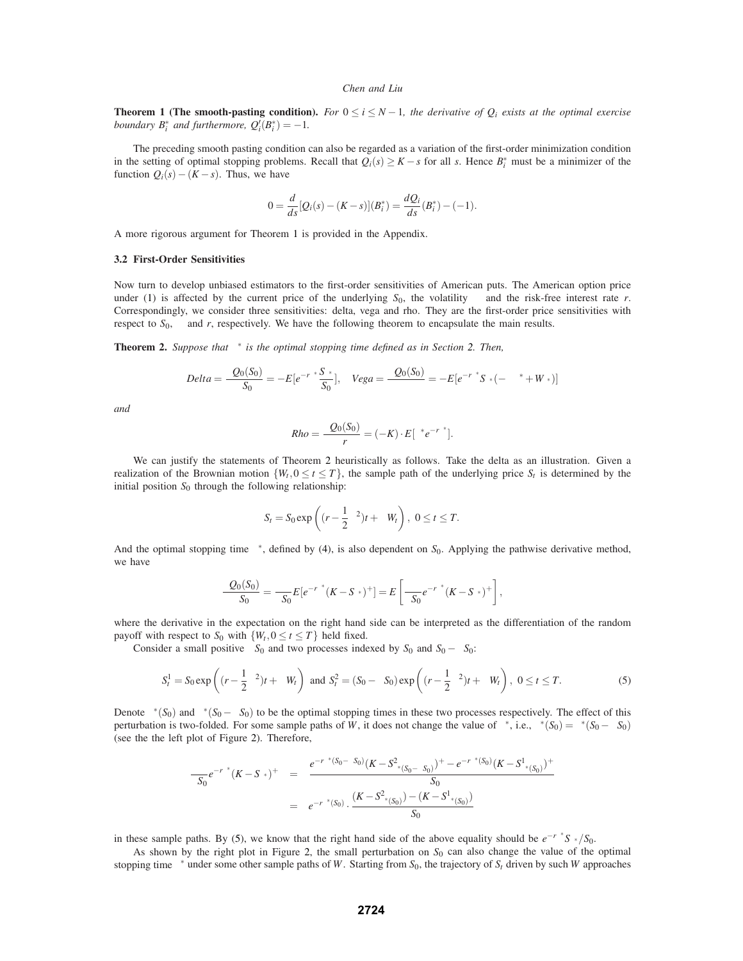**Theorem 1 (The smooth-pasting condition).** *For*  $0 \le i \le N-1$ *, the derivative of*  $Q_i$  *exists at the optimal exercise boundary*  $B_i^*$  *and furthermore,*  $Q_i'(B_i^*) = -1$ *.* 

The preceding smooth pasting condition can also be regarded as a variation of the first-order minimization condition in the setting of optimal stopping problems. Recall that  $Q_i(s) \geq K - s$  for all *s*. Hence  $B_i^*$  must be a minimizer of the function  $Q_i(s) - (K - s)$ . Thus, we have

$$
0 = \frac{d}{ds} [Q_i(s) - (K - s)](B_i^*) = \frac{dQ_i}{ds}(B_i^*) - (-1).
$$

A more rigorous argument for Theorem 1 is provided in the Appendix.

## **3.2 First-Order Sensitivities**

Now turn to develop unbiased estimators to the first-order sensitivities of American puts. The American option price under (1) is affected by the current price of the underlying  $S_0$ , the volatility  $\sigma$  and the risk-free interest rate *r*. Correspondingly, we consider three sensitivities: delta, vega and rho. They are the first-order price sensitivities with respect to  $S_0$ ,  $\sigma$  and *r*, respectively. We have the following theorem to encapsulate the main results.

**Theorem 2.** *Suppose that*  $\tau^*$  *is the optimal stopping time defined as in Section* 2. *Then,* 

$$
Delta = \frac{\partial Q_0(S_0)}{\partial S_0} = -E[e^{-r\tau^*}\frac{S_{\tau^*}}{S_0}], \quad Vega = \frac{\partial Q_0(S_0)}{\partial \sigma} = -E[e^{-r\tau^*}S_{\tau^*}(-\sigma\tau^* + W_{\tau^*})]
$$

*and*

$$
Rho = \frac{\partial Q_0(S_0)}{\partial r} = (-K) \cdot E[\tau^* e^{-r\tau^*}].
$$

We can justify the statements of Theorem 2 heuristically as follows. Take the delta as an illustration. Given a realization of the Brownian motion  $\{W_t, 0 \le t \le T\}$ , the sample path of the underlying price  $S_t$  is determined by the initial position  $S_0$  through the following relationship:

$$
S_t = S_0 \exp\left((r - \frac{1}{2}\sigma^2)t + \sigma W_t\right), \ 0 \le t \le T.
$$

And the optimal stopping time  $\tau^*$ , defined by (4), is also dependent on  $S_0$ . Applying the pathwise derivative method, we have

$$
\frac{\partial Q_0(S_0)}{\partial S_0} = \frac{\partial}{\partial S_0} E[e^{-r\tau^*}(K - S_{\tau^*})^+] = E\left[\frac{\partial}{\partial S_0}e^{-r\tau^*}(K - S_{\tau^*})^+\right],
$$

where the derivative in the expectation on the right hand side can be interpreted as the differentiation of the random payoff with respect to  $S_0$  with  $\{W_t, 0 \le t \le T\}$  held fixed.

Consider a small positive  $\partial S_0$  and two processes indexed by  $S_0$  and  $S_0 - \partial S_0$ :

$$
S_t^1 = S_0 \exp\left((r - \frac{1}{2}\sigma^2)t + \sigma W_t\right) \text{ and } S_t^2 = (S_0 - \partial S_0) \exp\left((r - \frac{1}{2}\sigma^2)t + \sigma W_t\right), \ 0 \le t \le T. \tag{5}
$$

Denote  $\tau^*(S_0)$  and  $\tau^*(S_0 - \partial S_0)$  to be the optimal stopping times in these two processes respectively. The effect of this perturbation is two-folded. For some sample paths of *W*, it does not change the value of  $\tau^*$ , i.e.,  $\tau^*(S_0) = \tau^*(S_0 - \partial S_0)$ (see the the left plot of Figure 2). Therefore,

$$
\frac{\partial}{\partial S_0} e^{-r\tau^*}(K - S_{\tau^*})^+ = \frac{e^{-r\tau^*(S_0 - \partial S_0)}(K - S_{\tau^*(S_0 - \partial S_0)}^+)^+ - e^{-r\tau^*(S_0)}(K - S_{\tau^*(S_0)}^+)^+}{\partial S_0}
$$
  
=  $e^{-r\tau^*(S_0)} \cdot \frac{(K - S_{\tau^*(S_0)}^2) - (K - S_{\tau^*(S_0)}^+)}{\partial S_0}$ 

in these sample paths. By (5), we know that the right hand side of the above equality should be  $e^{-r\tau^*}S_{\tau^*}/S_0$ .

As shown by the right plot in Figure 2, the small perturbation on *S*<sup>0</sup> can also change the value of the optimal stopping time <sup>τ</sup><sup>∗</sup> under some other sample paths of *W*. Starting from *S*0, the trajectory of *St* driven by such *W* approaches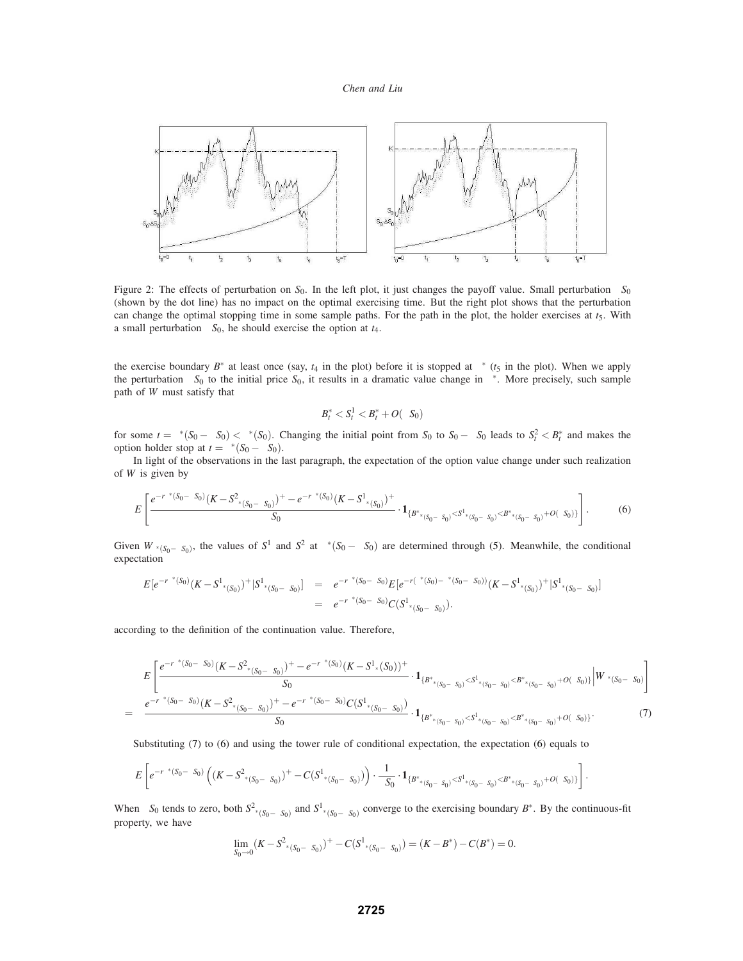

Figure 2: The effects of perturbation on *S*0. In the left plot, it just changes the payoff value. Small perturbation ∆*S*<sup>0</sup> (shown by the dot line) has no impact on the optimal exercising time. But the right plot shows that the perturbation can change the optimal stopping time in some sample paths. For the path in the plot, the holder exercises at  $t<sub>5</sub>$ . With a small perturbation ∆*S*0, he should exercise the option at *t*4.

the exercise boundary  $B^*$  at least once (say,  $t_4$  in the plot) before it is stopped at  $\tau^*$  ( $t_5$  in the plot). When we apply the perturbation  $\partial S_0$  to the initial price  $S_0$ , it results in a dramatic value change in  $\tau^*$ . More precisely, such sample path of *W* must satisfy that

$$
B_t^* < S_t^1 < B_t^* + O(\partial S_0)
$$

for some  $t = \tau^*(S_0 - \partial S_0) < \tau^*(S_0)$ . Changing the initial point from  $S_0$  to  $S_0 - \partial S_0$  leads to  $S_t^2 < B_t^*$  and makes the option holder stop at  $t = \tau^*(S_0 - \partial S_0)$ .

In light of the observations in the last paragraph, the expectation of the option value change under such realization of *W* is given by

$$
E\left[\frac{e^{-r\tau^*(S_0-\partial S_0)}(K-S^2_{\tau^*(S_0-\partial S_0)})^+ - e^{-r\tau^*(S_0)}(K-S^1_{\tau^*(S_0)})^+}{\partial S_0} \cdot \mathbf{1}_{\{B^*_{\tau^*(S_0-\partial S_0)} < S^1_{\tau^*(S_0-\partial S_0)} < B^*_{\tau^*(S_0-\partial S_0)} + O(\partial S_0)\}}\right].\tag{6}
$$

Given  $W_{\tau^*(S_0 - \partial S_0)}$ , the values of  $S^1$  and  $S^2$  at  $\tau^*(S_0 - \partial S_0)$  are determined through (5). Meanwhile, the conditional expectation

$$
E[e^{-r\tau^*(S_0)}(K-S^1_{\tau^*(S_0)})^+|S^1_{\tau^*(S_0-\partial S_0)}] = e^{-r\tau^*(S_0-\partial S_0)}E[e^{-r(\tau^*(S_0)-\tau^*(S_0-\partial S_0))}(K-S^1_{\tau^*(S_0)})^+|S^1_{\tau^*(S_0-\partial S_0)}]
$$
  
=  $e^{-r\tau^*(S_0-\partial S_0)}C(S^1_{\tau^*(S_0-\partial S_0)}).$ 

according to the definition of the continuation value. Therefore,

$$
E\left[\frac{e^{-r\tau^*(S_0-\partial S_0)}(K-S^2_{\tau^*(S_0-\partial S_0)})^+-e^{-r\tau^*(S_0)}(K-S^1_{\tau^*(S_0)})^+}{\partial S_0}\cdot\mathbf{1}_{\{B^*_{\tau^*(S_0-\partial S_0)} < S^1_{\tau^*(S_0-\partial S_0)} < B^*_{\tau^*(S_0-\partial S_0)} + O(\partial S_0)\}}\Big|W_{\tau^*(S_0-\partial S_0)}\Big|\right] = \frac{e^{-r\tau^*(S_0-\partial S_0)}(K-S^2_{\tau^*(S_0-\partial S_0)})^+-e^{-r\tau^*(S_0-\partial S_0)}C(S^1_{\tau^*(S_0-\partial S_0)})}{\partial S_0}\cdot\mathbf{1}_{\{B^*_{\tau^*(S_0-\partial S_0)} < S^1_{\tau^*(S_0-\partial S_0)} < B^*_{\tau^*(S_0-\partial S_0)} + O(\partial S_0)\}}\Big|W_{\tau^*(S_0-\partial S_0)}\Big|\right]
$$
(7)

Substituting (7) to (6) and using the tower rule of conditional expectation, the expectation (6) equals to

$$
E\left[e^{-r\tau^*(S_0-\partial S_0)}\left((K-S^2_{\tau^*(S_0-\partial S_0)})^+-C(S^1_{\tau^*(S_0-\partial S_0)})\right)\cdot \frac{1}{\partial S_0}\cdot {\bf 1}_{\{B^*_{\tau^*(S_0-\partial S_0)}
$$

When  $\partial S_0$  tends to zero, both  $S^2_{\tau^*(S_0 - \partial S_0)}$  and  $S^1_{\tau^*(S_0 - \partial S_0)}$  converge to the exercising boundary  $B^*$ . By the continuous-fit property, we have

$$
\lim_{\partial S_0 \to 0} (K - S_{\tau^*(S_0 - \partial S_0)}^2)^+ - C(S_{\tau^*(S_0 - \partial S_0)}^1) = (K - B^*) - C(B^*) = 0.
$$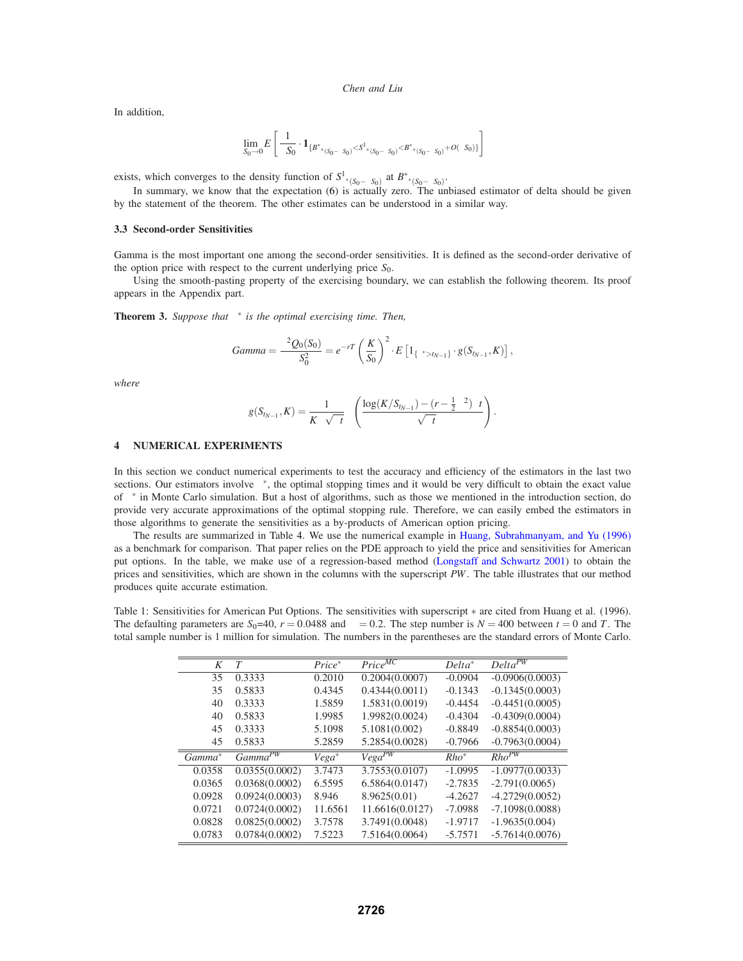In addition,

$$
\lim_{\partial S_0\to 0} E\left[\frac{1}{\partial S_0}\cdot\mathbf{1}_{\{B_{\tau^*(S_0-\partial S_0)}^{\ast}
$$

exists, which converges to the density function of  $S^1_{\tau^*(S_0 - \partial S_0)}$  at  $B^*_{\tau^*(S_0 - \partial S_0)}$ .

In summary, we know that the expectation (6) is actually zero. The unbiased estimator of delta should be given by the statement of the theorem. The other estimates can be understood in a similar way.

#### **3.3 Second-order Sensitivities**

Gamma is the most important one among the second-order sensitivities. It is defined as the second-order derivative of the option price with respect to the current underlying price *S*0.

Using the smooth-pasting property of the exercising boundary, we can establish the following theorem. Its proof appears in the Appendix part.

**Theorem 3.** *Suppose that*  $\tau^*$  *is the optimal exercising time. Then,* 

$$
Gamma = \frac{\partial^2 Q_0(S_0)}{\partial S_0^2} = e^{-rT} \left(\frac{K}{S_0}\right)^2 \cdot E\left[1_{\{\tau^* > t_{N-1}\}} \cdot g(S_{t_{N-1}}, K)\right],
$$

*where*

$$
g(S_{t_{N-1}}, K) = \frac{1}{K\sigma\sqrt{\Delta t}} \phi\left(\frac{\log(K/S_{t_{N-1}}) - (r - \frac{1}{2}\sigma^2)\Delta t}{\sigma\sqrt{\Delta t}}\right)
$$

.

## **4 NUMERICAL EXPERIMENTS**

In this section we conduct numerical experiments to test the accuracy and efficiency of the estimators in the last two sections. Our estimators involve  $\tau^*$ , the optimal stopping times and it would be very difficult to obtain the exact value of  $\tau^*$  in Monte Carlo simulation. But a host of algorithms, such as those we mentioned in the introduction section, do provide very accurate approximations of the optimal stopping rule. Therefore, we can easily embed the estimators in those algorithms to generate the sensitivities as a by-products of American option pricing.

The results are summarized in Table 4. We use the numerical example in Huang, Subrahmanyam, and Yu (1996) as a benchmark for comparison. That paper relies on the PDE approach to yield the price and sensitivities for American put options. In the table, we make use of a regression-based method (Longstaff and Schwartz 2001) to obtain the prices and sensitivities, which are shown in the columns with the superscript *PW*. The table illustrates that our method produces quite accurate estimation.

Table 1: Sensitivities for American Put Options. The sensitivities with superscript ∗ are cited from Huang et al. (1996). The defaulting parameters are  $S_0$ =40,  $r = 0.0488$  and  $\sigma = 0.2$ . The step number is  $N = 400$  between  $t = 0$  and *T*. The total sample number is 1 million for simulation. The numbers in the parentheses are the standard errors of Monte Carlo.

| K                  | T              | $Price^*$ | $Price^{MC}$    | $Delta^*$ | $Delta^{PW}$      |
|--------------------|----------------|-----------|-----------------|-----------|-------------------|
| 35                 | 0.3333         | 0.2010    | 0.2004(0.0007)  | $-0.0904$ | $-0.0906(0.0003)$ |
| 35                 | 0.5833         | 0.4345    | 0.4344(0.0011)  | $-0.1343$ | $-0.1345(0.0003)$ |
| 40                 | 0.3333         | 1.5859    | 1.5831(0.0019)  | $-0.4454$ | $-0.4451(0.0005)$ |
| 40                 | 0.5833         | 1.9985    | 1.9982(0.0024)  | $-0.4304$ | $-0.4309(0.0004)$ |
| 45                 | 0.3333         | 5.1098    | 5.1081(0.002)   | $-0.8849$ | $-0.8854(0.0003)$ |
| 45                 | 0.5833         | 5.2859    | 5.2854(0.0028)  | $-0.7966$ | $-0.7963(0.0004)$ |
| Gamma <sup>*</sup> | $Gamma^{PW}$   | $Vega^*$  | $Vega^{PW}$     | $Rho^*$   | $Rho^{PW}$        |
| 0.0358             | 0.0355(0.0002) | 3.7473    | 3.7553(0.0107)  | $-1.0995$ | $-1.0977(0.0033)$ |
| 0.0365             | 0.0368(0.0002) | 6.5595    | 6.5864(0.0147)  | $-2.7835$ | $-2.791(0.0065)$  |
| 0.0928             | 0.0924(0.0003) | 8.946     | 8.9625(0.01)    | $-4.2627$ | $-4.2729(0.0052)$ |
| 0.0721             | 0.0724(0.0002) | 11.6561   | 11.6616(0.0127) | $-7.0988$ | $-7.1098(0.0088)$ |
| 0.0828             | 0.0825(0.0002) | 3.7578    | 3.7491(0.0048)  | $-1.9717$ | $-1.9635(0.004)$  |
| 0.0783             | 0.0784(0.0002) | 7.5223    | 7.5164(0.0064)  | $-5.7571$ | $-5.7614(0.0076)$ |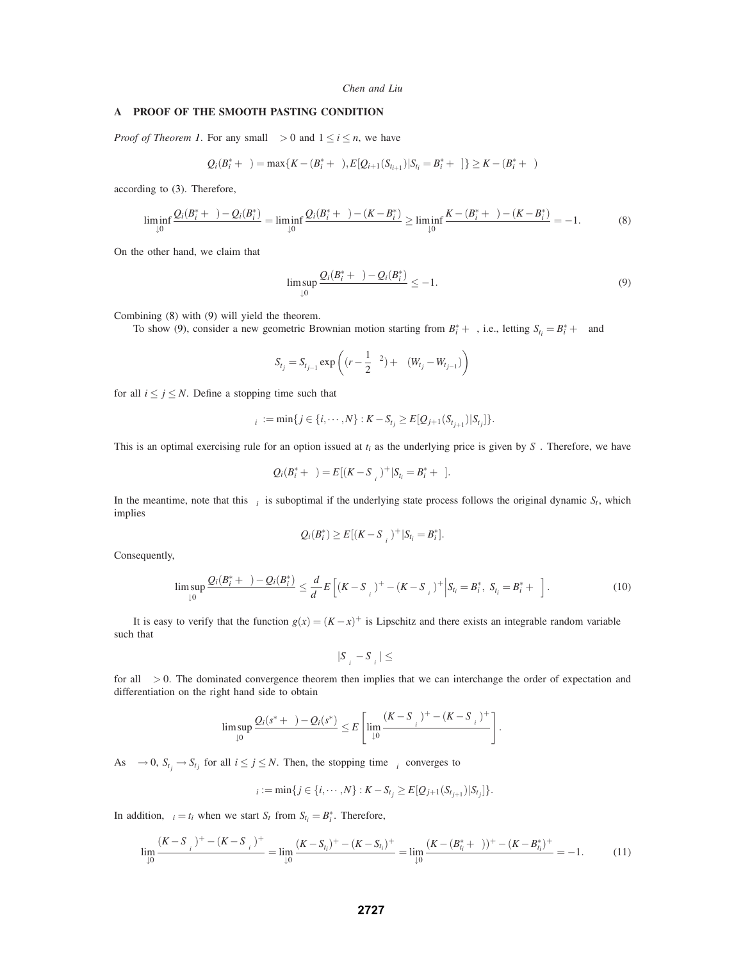### **A PROOF OF THE SMOOTH PASTING CONDITION**

*Proof of Theorem 1.* For any small  $\varepsilon > 0$  and  $1 \le i \le n$ , we have

$$
Q_i(B_i^* + \varepsilon) = \max\{K - (B_i^* + \varepsilon), E[Q_{i+1}(S_{t_{i+1}})|S_{t_i} = B_i^* + \varepsilon]\} \ge K - (B_i^* + \varepsilon)
$$

according to (3). Therefore,

$$
\liminf_{\varepsilon \downarrow 0} \frac{Q_i(B_i^* + \varepsilon) - Q_i(B_i^*)}{\varepsilon} = \liminf_{\varepsilon \downarrow 0} \frac{Q_i(B_i^* + \varepsilon) - (K - B_i^*)}{\varepsilon} \ge \liminf_{\varepsilon \downarrow 0} \frac{K - (B_i^* + \varepsilon) - (K - B_i^*)}{\varepsilon} = -1. \tag{8}
$$

On the other hand, we claim that

$$
\limsup_{\varepsilon \downarrow 0} \frac{Q_i(B_i^* + \varepsilon) - Q_i(B_i^*)}{\varepsilon} \le -1.
$$
\n(9)

Combining (8) with (9) will yield the theorem.

To show (9), consider a new geometric Brownian motion starting from  $B_i^* + \varepsilon$ , i.e., letting  $S_{i_i}^{\varepsilon} = B_i^* + \varepsilon$  and

$$
S_{t_j}^{\varepsilon} = S_{t_{j-1}}^{\varepsilon} \exp\left( (r - \frac{1}{2}\sigma^2) + \sigma(W_{t_j} - W_{t_{j-1}}) \right)
$$

for all  $i \le j \le N$ . Define a stopping time such that

$$
\tau_i^{\varepsilon} := \min\{j \in \{i, \cdots, N\} : K - S_{t_j}^{\varepsilon} \ge E[Q_{j+1}(S_{t_{j+1}}^{\varepsilon}) | S_{t_j}^{\varepsilon}]\}.
$$

This is an optimal exercising rule for an option issued at  $t_i$  as the underlying price is given by  $S^{\varepsilon}$ . Therefore, we have

$$
Q_i(B_i^*+\varepsilon)=E[(K-S_{\tau_i^{\varepsilon}}^{\varepsilon})^+|S_{t_i}^{\varepsilon}=B_i^*+\varepsilon].
$$

In the meantime, note that this  $\tau_i^{\varepsilon}$  is suboptimal if the underlying state process follows the original dynamic  $S_t$ , which implies

$$
Q_i(B_i^*) \geq E[(K - S_{\tau_i^{\varepsilon}})^+ | S_{t_i} = B_i^*].
$$

Consequently,

$$
\limsup_{\varepsilon \downarrow 0} \frac{\mathcal{Q}_i(B_i^* + \varepsilon) - \mathcal{Q}_i(B_i^*)}{\varepsilon} \le \frac{d}{d\varepsilon} E\left[ (K - S_{\tau_i^{\varepsilon}}^{\varepsilon})^+ - (K - S_{\tau_i^{\varepsilon}})^+ \Big| S_{t_i} = B_i^*, \ S_{t_i}^{\varepsilon} = B_i^* + \varepsilon \right]. \tag{10}
$$

It is easy to verify that the function  $g(x) = (K - x)^+$  is Lipschitz and there exists an integrable random variable  $\kappa$ such that

$$
|S_{\tau_i^\varepsilon}^\varepsilon-S_{\tau_i^\varepsilon}|\leq\kappa\varepsilon
$$

for all  $\varepsilon > 0$ . The dominated convergence theorem then implies that we can interchange the order of expectation and differentiation on the right hand side to obtain

$$
\limsup_{\varepsilon\downarrow 0}\frac{Q_i(s^*+\varepsilon)-Q_i(s^*)}{\varepsilon}\leq E\left[\lim_{\varepsilon\downarrow 0}\frac{(K-S_{\tau_i^{\varepsilon}}^{\varepsilon})^+-(K-S_{\tau_i^{\varepsilon}})^+}{\varepsilon}\right].
$$

As  $\varepsilon \to 0$ ,  $S_{t_j}^{\varepsilon} \to S_{t_j}$  for all  $i \le j \le N$ . Then, the stopping time  $\tau_i^{\varepsilon}$  converges to

$$
\tau_i := \min\{j \in \{i, \cdots, N\} : K - S_{t_j} \ge E[Q_{j+1}(S_{t_{j+1}})|S_{t_j}]\}.
$$

In addition,  $\tau_i = t_i$  when we start  $S_t$  from  $S_{t_i} = B_i^*$ . Therefore,

$$
\lim_{\varepsilon \downarrow 0} \frac{(K - S_{\tau_i^{\varepsilon}}^{\varepsilon})^+ - (K - S_{\tau_i^{\varepsilon}})^+}{\varepsilon} = \lim_{\varepsilon \downarrow 0} \frac{(K - S_{t_i}^{\varepsilon})^+ - (K - S_{t_i})^+}{\varepsilon} = \lim_{\varepsilon \downarrow 0} \frac{(K - (B_{t_i}^* + \varepsilon))^+ - (K - B_{t_i}^*)^+}{\varepsilon} = -1. \tag{11}
$$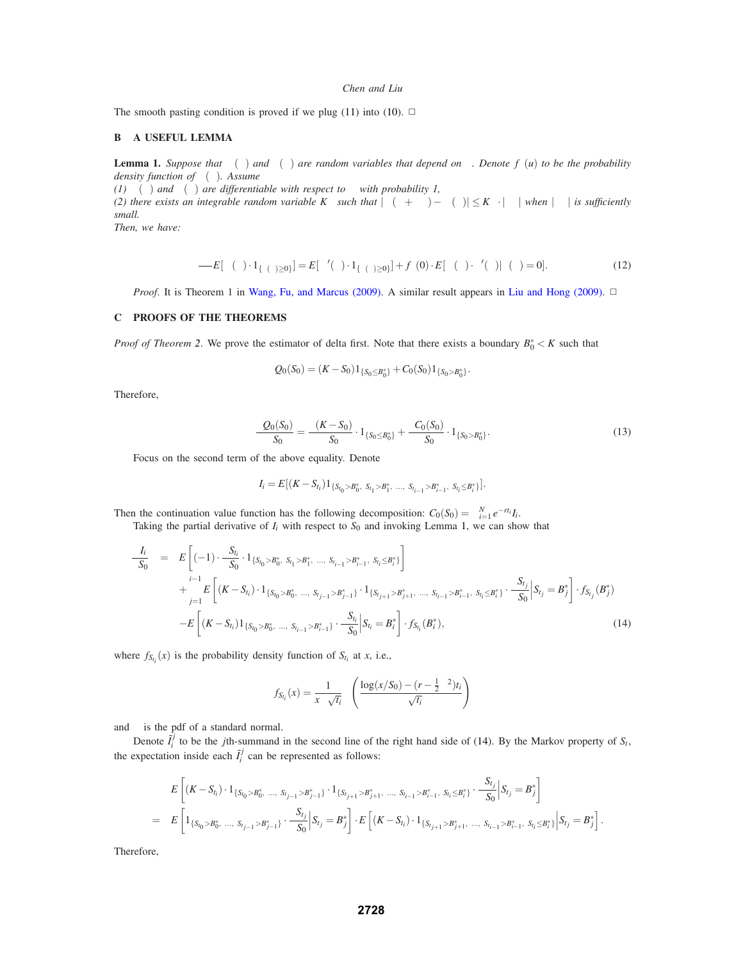The smooth pasting condition is proved if we plug (11) into (10).  $\Box$ 

#### **B A USEFUL LEMMA**

**Lemma 1.** *Suppose that*  $\Psi(\theta)$  *and*  $v(\theta)$  *are random variables that depend on*  $\theta$ *. Denote*  $f_{\theta}(u)$  *to be the probability density function of* <sup>ν</sup>(θ)*. Assume*

*(1)*  $\Psi(\theta)$  *and*  $v(\theta)$  *are differentiable with respect to*  $\theta$  *with probability 1,* 

*(2) there exists an integrable random variable K* $^{\theta}_{\Psi}$  *such that*  $|\Psi(\theta + \Delta\theta) - \Psi(\theta)| \le K^{\theta}_{\Psi} \cdot |\Delta\theta|$  *when*  $|\Delta\theta|$  *is sufficiently small.*

*Then, we have:*

$$
\frac{\partial}{\partial \theta} E[\Psi(\theta) \cdot 1_{\{v(\theta) \ge 0\}}] = E[\Psi'(\theta) \cdot 1_{\{v(\theta) \ge 0\}}] + f_{\theta}(0) \cdot E[\Psi(\theta) \cdot v'(\theta) | v(\theta) = 0].
$$
\n(12)

*Proof.* It is Theorem 1 in Wang, Fu, and Marcus (2009). A similar result appears in Liu and Hong (2009). □

#### **C PROOFS OF THE THEOREMS**

*Proof of Theorem* 2. We prove the estimator of delta first. Note that there exists a boundary  $B_0^* < K$  such that

$$
Q_0(S_0) = (K - S_0)1_{\{S_0 \le B_0^*\}} + C_0(S_0)1_{\{S_0 > B_0^*\}}.
$$

Therefore,

$$
\frac{\partial Q_0(S_0)}{\partial S_0} = \frac{\partial (K - S_0)}{\partial S_0} \cdot 1_{\{S_0 \le B_0^*\}} + \frac{\partial C_0(S_0)}{\partial S_0} \cdot 1_{\{S_0 > B_0^*\}}.\tag{13}
$$

Focus on the second term of the above equality. Denote

$$
I_i=E[(K-S_{t_i})1_{\{S_{t_0}>B_0^*,\ S_{t_1}>B_1^*,\ \dots,\ S_{t_{i-1}}>B_{i-1}^*,\ S_{t_i}\leq B_i^*]}].
$$

Then the continuation value function has the following decomposition:  $C_0(S_0) = \sum_{i=1}^{N} e^{-rt_i} I_i$ .

Taking the partial derivative of  $I_i$  with respect to  $S_0$  and invoking Lemma 1, we can show that

$$
\frac{\partial I_i}{\partial S_0} = E\left[ (-1) \cdot \frac{\partial S_{t_i}}{\partial S_0} \cdot 1_{\{S_{t_0} > B_0^*, S_{t_1} > B_1^*, ..., S_{t_{i-1}} > B_{i-1}^*, S_{t_i} \leq B_i^*\}}\right] \n+ \sum_{j=1}^{i-1} E\left[ (K - S_{t_i}) \cdot 1_{\{S_{t_0} > B_0^*, ..., S_{t_{j-1}} > B_{j-1}^*\}} \cdot 1_{\{S_{t_{j+1}} > B_{j+1}^*, ..., S_{t_{i-1}} > B_{i-1}^*, S_{t_i} \leq B_i^*\}} \cdot \frac{\partial S_{t_i}}{\partial S_0} \middle| S_{t_j} = B_j^* \right] \cdot f_{S_{t_j}}(B_j^*) \n- E\left[ (K - S_{t_i}) 1_{\{S_{t_0} > B_0^*, ..., S_{t_{i-1}} > B_{i-1}^*\}} \cdot \frac{\partial S_{t_i}}{\partial S_0} \middle| S_{t_i} = B_i^* \right] \cdot f_{S_{t_i}}(B_i^*),
$$
\n(14)

where  $f_{S_{t_i}}(x)$  is the probability density function of  $S_{t_i}$  at *x*, i.e.,

$$
f_{S_{t_i}}(x) = \frac{1}{x\sigma\sqrt{t_i}}\phi\left(\frac{\log(x/S_0) - (r - \frac{1}{2}\sigma^2)t_i}{\sigma\sqrt{t_i}}\right)
$$

and  $\phi$  is the pdf of a standard normal.

Denote  $\tilde{I}_i^j$  to be the *j*th-summand in the second line of the right hand side of (14). By the Markov property of  $S_t$ , the expectation inside each  $\tilde{I}_i^j$  can be represented as follows:

$$
E\left[ (K - S_{t_i}) \cdot 1_{\{S_{t_0} > B_0^*, \dots, S_{t_{j-1}} > B_{j-1}^*\}} \cdot 1_{\{S_{t_{j+1}} > B_{j+1}^*, \dots, S_{t_{i-1}} > B_{i-1}^*, S_{t_i} \leq B_i^*\}} \cdot \frac{\partial S_{t_j}}{\partial S_0} \Big| S_{t_j} = B_j^* \right]
$$
  
= 
$$
E\left[ 1_{\{S_{t_0} > B_0^*, \dots, S_{t_{j-1}} > B_{j-1}^*\}} \cdot \frac{\partial S_{t_j}}{\partial S_0} \Big| S_{t_j} = B_j^* \right] \cdot E\left[ (K - S_{t_i}) \cdot 1_{\{S_{t_{j+1}} > B_{j+1}^*, \dots, S_{t_{i-1}} > B_{i-1}^*, S_{t_i} \leq B_i^*\}} \Big| S_{t_j} = B_j^* \right].
$$

Therefore,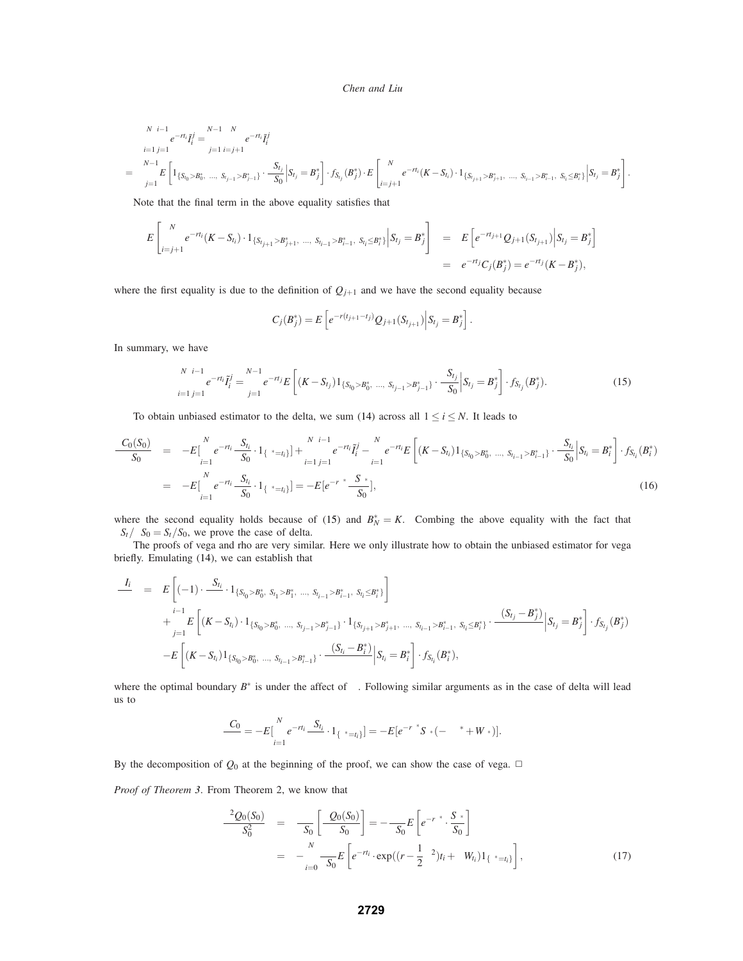$$
\sum_{i=1}^{N} \sum_{j=1}^{i-1} e^{-rt_i} \tilde{I}_i^j = \sum_{j=1}^{N-1} \sum_{i=j+1}^{N} e^{-rt_i} \tilde{I}_i^j
$$
\n
$$
= \sum_{j=1}^{N-1} E\left[1_{\{S_{t_0} > B_0^*, \dots, S_{t_{j-1}} > B_{j-1}^*\}} \cdot \frac{\partial S_{t_j}}{\partial S_0} \Big| S_{t_j} = B_j^* \right] \cdot f_{S_{t_j}}(B_j^*) \cdot E\left[\sum_{i=j+1}^{N} e^{-rt_i} (K - S_{t_i}) \cdot 1_{\{S_{t_{j+1}} > B_{j+1}^*, \dots, S_{t_{i-1}} > B_{i-1}^*, S_{t_i} \leq B_i^*\}} \Big| S_{t_j} = B_j^* \right].
$$

Note that the final term in the above equality satisfies that

$$
E\left[\sum_{i=j+1}^{N}e^{-rt_i}(K-S_{t_i})\cdot 1_{\{S_{t_{j+1}}>B_{j+1}^*,\ldots,S_{t_{i-1}}>B_{i-1}^*,\ S_{t_i}\leq B_i^*\}}\Big|S_{t_j}=B_j^*\right] = E\left[e^{-rt_{j+1}}Q_{j+1}(S_{t_{j+1}})\Big|S_{t_j}=B_j^*\right]
$$
  
=  $e^{-rt_j}C_j(B_j^*) = e^{-rt_j}(K-B_j^*),$ 

where the first equality is due to the definition of  $Q_{j+1}$  and we have the second equality because

$$
C_j(B_j^*)=E\left[e^{-r(t_{j+1}-t_j)}Q_{j+1}(S_{t_{j+1}})\Big|S_{t_j}=B_j^*\right].
$$

In summary, we have

$$
\sum_{i=1}^{N} \sum_{j=1}^{i-1} e^{-rt_i} I_i^j = \sum_{j=1}^{N-1} e^{-rt_j} E\left[ (K - S_{t_j}) 1_{\{S_{t_0} > B_0^*, \dots, S_{t_{j-1}} > B_{j-1}^*\}} \cdot \frac{\partial S_{t_j}}{\partial S_0} \Big| S_{t_j} = B_j^* \right] \cdot f_{S_{t_j}}(B_j^*).
$$
\n(15)

To obtain unbiased estimator to the delta, we sum (14) across all  $1 \le i \le N$ . It leads to

$$
\frac{\partial C_0(S_0)}{\partial S_0} = -E[\sum_{i=1}^N e^{-rt_i} \frac{\partial S_{t_i}}{\partial S_0} \cdot 1_{\{\tau^* = t_i\}}] + \sum_{i=1}^N \sum_{j=1}^{i-1} e^{-rt_i} \tilde{I}_i^j - \sum_{i=1}^N e^{-rt_i} E\left[ (K - S_{t_i}) 1_{\{S_{t_0} > B_0^*, \dots, S_{t_{i-1}} > B_{i-1}^*\}} \cdot \frac{\partial S_{t_i}}{\partial S_0} \Big| S_{t_i} = B_i^* \right] \cdot f_{S_{t_i}}(B_i^*)
$$
\n
$$
= -E[\sum_{i=1}^N e^{-rt_i} \frac{\partial S_{t_i}}{\partial S_0} \cdot 1_{\{\tau^* = t_i\}}] = -E[e^{-r\tau^*} \frac{\partial S_{\tau^*}}{\partial S_0}], \qquad (16)
$$

where the second equality holds because of (15) and  $B_N^* = K$ . Combing the above equality with the fact that  $\partial S_t / \partial S_0 = S_t / S_0$ , we prove the case of delta.

The proofs of vega and rho are very similar. Here we only illustrate how to obtain the unbiased estimator for vega briefly. Emulating (14), we can establish that

$$
\frac{\partial I_i}{\partial \sigma} = E \left[ (-1) \cdot \frac{\partial S_{t_i}}{\partial \sigma} \cdot 1_{\{S_{t_0} > B_0^*, S_{t_1} > B_1^*, S_{t_1} > B_{t-1}^*, S_{t_i} \leq B_i^* \}} \right] \n+ \sum_{j=1}^{i-1} E \left[ (K - S_{t_i}) \cdot 1_{\{S_{t_0} > B_0^*, S_{t_1} > B_{t-1}^* \} \cdot 1_{\{S_{t_{j+1}} > B_{j+1}^*, S_{t_i} \leq B_i^* \}} \cdot S_{t_{i-1}} > B_{t-1}^*, S_{t_i} \leq B_i^* \right] \cdot \frac{\partial (S_{t_j} - B_j^*)}{\partial \sigma} \Big| S_{t_j} = B_j^* \right] \cdot f_{S_{t_j}}(B_j^*) \n- E \left[ (K - S_{t_i}) 1_{\{S_{t_0} > B_0^*, S_{t_1} \leq B_{t-1}^* \} \cdot 1_{\{S_{t_i} = B_i^* \}} \cdot \frac{\partial (S_{t_i} - B_i^*)}{\partial \sigma} \Big| S_{t_i} = B_i^* \right] \cdot f_{S_{t_i}}(B_i^*),
$$

where the optimal boundary  $B^*$  is under the affect of  $\sigma$ . Following similar arguments as in the case of delta will lead us to

$$
\frac{\partial C_0}{\partial \sigma} = -E\big[\sum_{i=1}^N e^{-rt_i}\frac{\partial S_{t_i}}{\partial \sigma} \cdot 1_{\{\tau^*=t_i\}}\big] = -E\big[e^{-r\tau^*}S_{\tau^*}\big(-\sigma\tau^* + W_{\tau^*}\big)\big].
$$

By the decomposition of  $Q_0$  at the beginning of the proof, we can show the case of vega.  $\Box$ 

*Proof of Theorem 3*. From Theorem 2, we know that

$$
\frac{\partial^2 Q_0(S_0)}{\partial S_0^2} = \frac{\partial}{\partial S_0} \left[ \frac{\partial Q_0(S_0)}{\partial S_0} \right] = -\frac{\partial}{\partial S_0} E \left[ e^{-r\tau^*} \cdot \frac{S_{\tau^*}}{S_0} \right]
$$

$$
= -\sum_{i=0}^N \frac{\partial}{\partial S_0} E \left[ e^{-r t_i} \cdot \exp((r - \frac{1}{2}\sigma^2)t_i + \sigma W_{t_i}) \mathbf{1}_{\{\tau^* = t_i\}} \right], \tag{17}
$$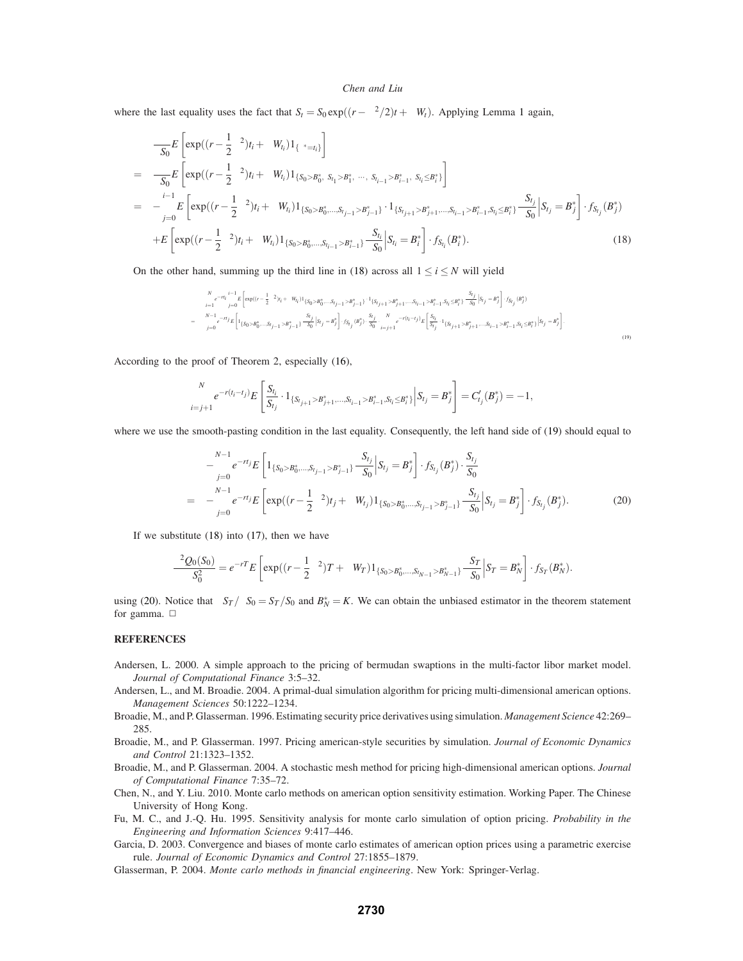where the last equality uses the fact that  $S_t = S_0 \exp((r - \sigma^2/2)t + \sigma W_t)$ . Applying Lemma 1 again,

$$
\frac{\partial}{\partial S_{0}} E\left[\exp((r-\frac{1}{2}\sigma^{2})t_{i} + \sigma W_{t_{i}})\mathbf{1}_{\{\tau^{*}=t_{i}\}}\right]
$$
\n
$$
= \frac{\partial}{\partial S_{0}} E\left[\exp((r-\frac{1}{2}\sigma^{2})t_{i} + \sigma W_{t_{i}})\mathbf{1}_{\{S_{0} > B_{0}^{*}, S_{t_{1}} > B_{1}^{*}, \dots, S_{t_{i-1}} > B_{i-1}^{*}, S_{t_{i}} \leq B_{i}^{*}\}}\right]
$$
\n
$$
= -\sum_{j=0}^{i-1} E\left[\exp((r-\frac{1}{2}\sigma^{2})t_{i} + \sigma W_{t_{i}})\mathbf{1}_{\{S_{0} > B_{0}^{*}, \dots, S_{t_{j-1}} > B_{j-1}^{*}\}} \cdot \mathbf{1}_{\{S_{t_{j+1}} > B_{j+1}^{*}, \dots, S_{t_{i-1}} > B_{i-1}^{*}, S_{t_{i}} \leq B_{i}^{*}\}}\frac{\partial S_{t_{j}}}{\partial S_{0}}\middle|S_{t_{j}} = B_{j}^{*}\right] \cdot f_{S_{t_{j}}}(B_{j}^{*})
$$
\n
$$
+ E\left[\exp((r-\frac{1}{2}\sigma^{2})t_{i} + \sigma W_{t_{i}})\mathbf{1}_{\{S_{0} > B_{0}^{*}, \dots, S_{t_{i-1}} > B_{i-1}^{*}\}}\frac{\partial S_{t_{i}}}{\partial S_{0}}\middle|S_{t_{i}} = B_{i}^{*}\right] \cdot f_{S_{t_{i}}}(B_{i}^{*}).
$$
\n(18)

On the other hand, summing up the third line in (18) across all  $1 \le i \le N$  will yield

$$
\begin{split} &\sum_{i=1}^{N}e^{-rt_{j}}\sum_{j=0}^{i-1}E\left[\exp((r-\frac{1}{2}\sigma^{2})i_{i}+\sigma W_{t_{i}})\mathbf{1}_{\{S_{0}>B^{+}_{0},...,S_{t_{j}-1}>B^{+}_{j-1}\}}\cdot{}^{1}S_{t_{j+1}}>B^{+}_{j+1},...,S_{t_{i-1}}>B^{+}_{i-1},S_{t_{i}}\leq{}^{n}S_{t_{j}}^{+}\right]S_{0j}\left[S_{t_{j}}=B^{+}_{j}\right]\cdot{}^{f}S_{t_{j}}(B^{+}_{j})\\ &=\sum_{j=0}^{N-1}e^{-rt_{j}}E\left[\mathbf{1}_{\{S_{0}>B^{+}_{0},...,S_{t_{j-1}}>B^{+}_{j-1}\}}\cdot{}^{3}S_{t_{j}}\right]\cdot{}^{f}S_{t_{j}}\cdot{}^{n}S_{0j}\cdot{}^{S_{t_{j}}}_{S_{0}}\cdot\sum_{i=j+1}^{S_{t_{j}}}\cdot{}^{n}C_{t_{j}-t_{j}}\cdot{}^{n}E\left[\frac{S_{t_{j}}}{S_{t_{j}}}\cdot\mathbf{1}_{\{S_{t_{j+1}>B^{+}_{j+1},...,S_{t_{i-1}}>B^{+}_{j-1},S_{t_{i}}\leq{}B^{+}_{j}\}}\right]\cdot{}^{f}S_{t_{j}}=B^{+}_{j}\right].\end{split} \tag{19}
$$

According to the proof of Theorem 2, especially (16),

$$
\sum_{i=j+1}^{N} e^{-r(t_i-t_j)} E\left[\frac{S_{t_i}}{S_{t_j}} \cdot 1_{\{S_{t_{j+1}} > B_{j+1}^*,...,S_{t_{i-1}} > B_{i-1}^*, S_{t_i} \le B_i^*\}}\Big|S_{t_j} = B_j^*\right] = C'_{t_j}(B_j^*) = -1,
$$

where we use the smooth-pasting condition in the last equality. Consequently, the left hand side of (19) should equal to

$$
-\sum_{j=0}^{N-1} e^{-rt_j} E\left[1_{\{S_0>B_0^*,...,S_{t_{j-1}}>B_{j-1}^*\}} \frac{\partial S_{t_j}}{\partial S_0} \Big| S_{t_j} = B_j^* \right] \cdot f_{S_{t_j}}(B_j^*) \cdot \frac{S_{t_j}}{S_0}
$$
  
= -\sum\_{j=0}^{N-1} e^{-rt\_j} E\left[ \exp((r - \frac{1}{2}\sigma^2)t\_j + \sigma W\_{t\_j}) 1\_{\{S\_0>B\_0^\*,...,S\_{t\_{j-1}}>B\_{j-1}^\*\}} \frac{\partial S\_{t\_j}}{\partial S\_0} \Big| S\_{t\_j} = B\_j^\* \right] \cdot f\_{S\_{t\_j}}(B\_j^\*) . \tag{20}

If we substitute  $(18)$  into  $(17)$ , then we have

$$
\frac{\partial^2 Q_0(S_0)}{\partial S_0^2} = e^{-rT} E \left[ \exp((r - \frac{1}{2}\sigma^2)T + \sigma W_T) 1_{\{S_0 > B_0^*,...,S_{t_{N-1}} > B_{N-1}^*\}} \frac{\partial S_T}{\partial S_0} \Big| S_T = B_N^* \right] \cdot f_{S_T}(B_N^*).
$$

using (20). Notice that  $\partial S_T / \partial S_0 = S_T / S_0$  and  $B_N^* = K$ . We can obtain the unbiased estimator in the theorem statement for gamma.  $\square$ 

# **REFERENCES**

- Andersen, L. 2000. A simple approach to the pricing of bermudan swaptions in the multi-factor libor market model. *Journal of Computational Finance* 3:5–32.
- Andersen, L., and M. Broadie. 2004. A primal-dual simulation algorithm for pricing multi-dimensional american options. *Management Sciences* 50:1222–1234.
- Broadie, M., and P. Glasserman. 1996. Estimating security price derivatives using simulation. *Management Science* 42:269– 285.
- Broadie, M., and P. Glasserman. 1997. Pricing american-style securities by simulation. *Journal of Economic Dynamics and Control* 21:1323–1352.
- Broadie, M., and P. Glasserman. 2004. A stochastic mesh method for pricing high-dimensional american options. *Journal of Computational Finance* 7:35–72.
- Chen, N., and Y. Liu. 2010. Monte carlo methods on american option sensitivity estimation. Working Paper. The Chinese University of Hong Kong.
- Fu, M. C., and J.-Q. Hu. 1995. Sensitivity analysis for monte carlo simulation of option pricing. *Probability in the Engineering and Information Sciences* 9:417–446.
- Garcia, D. 2003. Convergence and biases of monte carlo estimates of american option prices using a parametric exercise rule. *Journal of Economic Dynamics and Control* 27:1855–1879.
- Glasserman, P. 2004. *Monte carlo methods in financial engineering*. New York: Springer-Verlag.